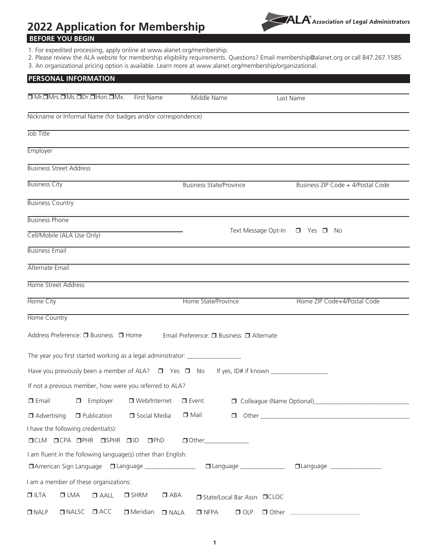# **2022 Application for Membership**



# **BEFORE YOU BEGIN**

- 1. For expedited processing, apply online at www.alanet.org/membership.
- 2. Please review the ALA website for membership eligibility requirements. Questions? Email membership@alanet.org or call 847.267.1585.
- 3. An organizational pricing option is available. Learn more at www.alanet.org/membership/organizational.

| <b>PERSONAL INFORMATION</b>                                                      |                                             |                                                                                                                                                                                                                                                                                                                                                                                |  |  |  |  |
|----------------------------------------------------------------------------------|---------------------------------------------|--------------------------------------------------------------------------------------------------------------------------------------------------------------------------------------------------------------------------------------------------------------------------------------------------------------------------------------------------------------------------------|--|--|--|--|
| O Mr.OMrs.OMs.ODr.OHon.OMx.<br>First Name                                        | Middle Name                                 | Last Name                                                                                                                                                                                                                                                                                                                                                                      |  |  |  |  |
| Nickname or Informal Name (for badges and/or correspondence)                     |                                             |                                                                                                                                                                                                                                                                                                                                                                                |  |  |  |  |
|                                                                                  |                                             |                                                                                                                                                                                                                                                                                                                                                                                |  |  |  |  |
| Job Title                                                                        |                                             |                                                                                                                                                                                                                                                                                                                                                                                |  |  |  |  |
| Employer                                                                         |                                             |                                                                                                                                                                                                                                                                                                                                                                                |  |  |  |  |
| <b>Business Street Address</b>                                                   |                                             |                                                                                                                                                                                                                                                                                                                                                                                |  |  |  |  |
| <b>Business City</b>                                                             | <b>Business State/Province</b>              | Business ZIP Code + 4/Postal Code                                                                                                                                                                                                                                                                                                                                              |  |  |  |  |
| <b>Business Country</b>                                                          |                                             |                                                                                                                                                                                                                                                                                                                                                                                |  |  |  |  |
| <b>Business Phone</b>                                                            |                                             |                                                                                                                                                                                                                                                                                                                                                                                |  |  |  |  |
| Cell/Mobile (ALA Use Only)                                                       |                                             | Text Message Opt-In □ Yes □ No                                                                                                                                                                                                                                                                                                                                                 |  |  |  |  |
| <b>Business Email</b>                                                            |                                             |                                                                                                                                                                                                                                                                                                                                                                                |  |  |  |  |
| Alternate Email                                                                  |                                             |                                                                                                                                                                                                                                                                                                                                                                                |  |  |  |  |
| Home Street Address                                                              |                                             |                                                                                                                                                                                                                                                                                                                                                                                |  |  |  |  |
| Home City                                                                        | Home State/Province                         | Home ZIP Code+4/Postal Code                                                                                                                                                                                                                                                                                                                                                    |  |  |  |  |
| <b>Home Country</b>                                                              |                                             |                                                                                                                                                                                                                                                                                                                                                                                |  |  |  |  |
| Address Preference: □ Business □ Home                                            | Email Preference: □ Business □ Alternate    |                                                                                                                                                                                                                                                                                                                                                                                |  |  |  |  |
| The year you first started working as a legal administrator: ___________________ |                                             |                                                                                                                                                                                                                                                                                                                                                                                |  |  |  |  |
| Have you previously been a member of ALA? $\Box$ Yes $\Box$ No                   |                                             |                                                                                                                                                                                                                                                                                                                                                                                |  |  |  |  |
| If not a previous member, how were you referred to ALA?                          |                                             |                                                                                                                                                                                                                                                                                                                                                                                |  |  |  |  |
| $\square$ Email<br>$\Box$ Employer<br>□ Web/Internet                             | $\Box$ Event                                |                                                                                                                                                                                                                                                                                                                                                                                |  |  |  |  |
| $\Box$ Advertising<br>$\Box$ Publication<br>Social Media                         | $\Box$ Mail                                 |                                                                                                                                                                                                                                                                                                                                                                                |  |  |  |  |
| I have the following credential(s):                                              |                                             |                                                                                                                                                                                                                                                                                                                                                                                |  |  |  |  |
| OCLM OCPA OPHR OSPHR OJD OPhD                                                    |                                             |                                                                                                                                                                                                                                                                                                                                                                                |  |  |  |  |
| I am fluent in the following language(s) other than English:                     |                                             |                                                                                                                                                                                                                                                                                                                                                                                |  |  |  |  |
| □ American Sign Language □ Language ________________                             |                                             | □ Language _________________  □ Language ___________________                                                                                                                                                                                                                                                                                                                   |  |  |  |  |
| I am a member of these organizations:                                            |                                             |                                                                                                                                                                                                                                                                                                                                                                                |  |  |  |  |
| $\Box$ ILTA<br>$\Box$ LMA<br>$\Box$ AALL<br>$\Box$ SHRM                          | $\Box$ ABA<br>□ State/Local Bar Assn □ CLOC |                                                                                                                                                                                                                                                                                                                                                                                |  |  |  |  |
| $\n  D NALP$<br>$\Box$ ACC<br>$\n  D NALS$<br>$\Box$ Meridian                    | $\Box$ NFPA<br>$\Box$ NALA<br>$\Box$ OLP    | $\begin{tabular}{ c c c } \hline \rule{.4cm}{.4cm} \rule{.4cm}{.4cm} \rule{.4cm}{.4cm} \rule{.4cm}{.4cm} \rule{.4cm}{.4cm} \rule{.4cm}{.4cm} \rule{.4cm}{.4cm} \rule{.4cm}{.4cm} \rule{.4cm}{.4cm} \rule{.4cm}{.4cm} \rule{.4cm}{.4cm} \rule{.4cm}{.4cm} \rule{.4cm}{.4cm} \rule{.4cm}{.4cm} \rule{.4cm}{.4cm} \rule{.4cm}{.4cm} \rule{.4cm}{.4cm} \rule{.4cm}{.4cm} \rule{.4$ |  |  |  |  |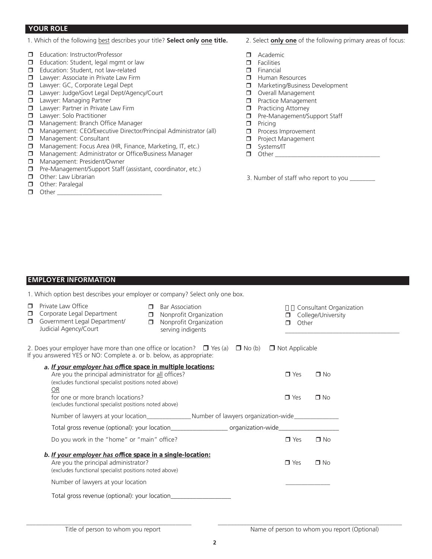#### **YOUR ROLE**

- 1. Which of the following best describes your title? **Select only one title.**
- **d** Education: Instructor/Professor
- $\Box$  Education: Student, legal mgmt or law
- $\Box$  Education: Student, not law-related
- $\Box$  Lawyer: Associate in Private Law Firm
- **D** Lawyer: GC, Corporate Legal Dept
- □ Lawyer: Judge/Govt Legal Dept/Agency/Court
- **D** Lawyer: Managing Partner
- $\Box$  Lawyer: Partner in Private Law Firm
- **d** Lawyer: Solo Practitioner
- **D** Management: Branch Office Manager
- r Management: CEO/Executive Director/Principal Administrator (all)
- **n** Management: Consultant
- $\Box$  Management: Focus Area (HR, Finance, Marketing, IT, etc.)
- $\Box$  Management: Administrator or Office/Business Manager
- **n** Management: President/Owner
- $\Box$  Pre-Management/Support Staff (assistant, coordinator, etc.)
- $\Box$  Other: Law Librarian
- $\Box$  Other: Paralegal
- $\Box$  Other  $\Box$
- 2. Select **only one** of the following primary areas of focus:
- $\Box$  Academic
- $\Box$  Facilities
- $\Box$  Financial
- $\Box$  Human Resources
- $\Box$  Marketing/Business Development
- Overall Management
- 
- $\Box$  Practice Management<br> $\Box$  Practicing Attorney **Practicing Attorney**
- **D** Pre-Management/Support Staff
- $\Box$  Pricing
- $\Box$  Process Improvement
- **D** Project Management
- $\Box$  Systems/IT  $\Box$  Other
	-
- 3. Number of staff who report to you \_\_\_\_\_\_\_\_

#### **EMPLOYER INFORMATION**

1. Which option best describes your employer or company? Select only one box.

| $\Box$<br>$\Box$<br>$\Box$ | Private Law Office<br>Corporate Legal Department<br>Government Legal Department/<br>Judicial Agency/Court                                                                                                                       | $\Box$<br>$\Box$<br>$\Box$ | <b>Bar Association</b><br>Nonprofit Organization<br>Nonprofit Organization<br>serving indigents                | ⊓<br>$\Box$           | Other                    | Consultant Organization<br>College/University |  |
|----------------------------|---------------------------------------------------------------------------------------------------------------------------------------------------------------------------------------------------------------------------------|----------------------------|----------------------------------------------------------------------------------------------------------------|-----------------------|--------------------------|-----------------------------------------------|--|
|                            | 2. Does your employer have more than one office or location? $\Box$ Yes (a) $\Box$ No (b)<br>If you answered YES or NO: Complete a. or b. below, as appropriate:                                                                |                            |                                                                                                                | $\Box$ Not Applicable |                          |                                               |  |
|                            | a. If your employer has office space in multiple locations:<br>Are you the principal administrator for all offices?<br>(excludes functional specialist positions noted above)<br><b>OR</b><br>for one or more branch locations? |                            |                                                                                                                |                       | $\Box$ Yes<br>$\Box$ Yes | $\Box$ No<br>$\n  o\n$                        |  |
|                            | (excludes functional specialist positions noted above)                                                                                                                                                                          |                            | Number of lawyers at your location______________________Number of lawyers organization-wide_______________     |                       |                          |                                               |  |
|                            |                                                                                                                                                                                                                                 |                            | Total gross revenue (optional): your location________________________ organization-wide_______________________ |                       |                          |                                               |  |
|                            | Do you work in the "home" or "main" office?                                                                                                                                                                                     |                            |                                                                                                                |                       | $\Box$ Yes               | $\Box$ No                                     |  |
|                            | b. If your employer has office space in a single-location:<br>Are you the principal administrator?<br>(excludes functional specialist positions noted above)                                                                    |                            |                                                                                                                |                       | $\blacksquare$ Yes       | $\Box$ No                                     |  |
|                            | Number of lawyers at your location                                                                                                                                                                                              |                            |                                                                                                                |                       |                          |                                               |  |
|                            | Total gross revenue (optional): your location___________________________________                                                                                                                                                |                            |                                                                                                                |                       |                          |                                               |  |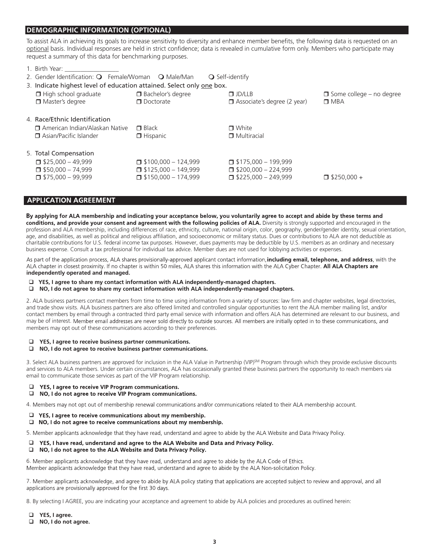#### **DEMOGRAPHIC INFORMATION (OPTIONAL)**

To assist ALA in achieving its goals to increase sensitivity to diversity and enhance member benefits, the following data is requested on an optional basis. Individual responses are held in strict confidence; data is revealed in cumulative form only. Members who participate may request a summary of this data for benchmarking purposes.

| 1. Birth Year:                                                        |                            |                                    |                                 |  |  |
|-----------------------------------------------------------------------|----------------------------|------------------------------------|---------------------------------|--|--|
| 2. Gender Identification: O Female/Woman O Male/Man                   |                            | $\bigcirc$ Self-identify           |                                 |  |  |
| 3. Indicate highest level of education attained. Select only one box. |                            |                                    |                                 |  |  |
| $\Box$ High school graduate                                           | □ Bachelor's degree        | $\Box$ JD/LLB                      | $\Box$ Some college – no degree |  |  |
| □ Master's degree                                                     | $\Box$ Doctorate           | $\Box$ Associate's degree (2 year) | $\Box$ MBA                      |  |  |
|                                                                       |                            |                                    |                                 |  |  |
| 4. Race/Ethnic Identification                                         |                            |                                    |                                 |  |  |
| $\Box$ American Indian/Alaskan Native                                 | $\Box$ Black               | $\blacksquare$ White               |                                 |  |  |
| □ Asian/Pacific Islander                                              | $\Box$ Hispanic            | $\Box$ Multiracial                 |                                 |  |  |
|                                                                       |                            |                                    |                                 |  |  |
| 5. Total Compensation                                                 |                            |                                    |                                 |  |  |
| $\Box$ \$25.000 - 49.999                                              | $\Box$ \$100.000 - 124.999 | $\Box$ \$175.000 - 199.999         |                                 |  |  |
| $\Box$ \$50,000 - 74,999                                              | $\Box$ \$125,000 - 149,999 | $\Box$ \$200.000 - 224.999         |                                 |  |  |
| $\Box$ \$75,000 - 99,999                                              | $\Box$ \$150,000 - 174,999 | $\Box$ \$225,000 - 249,999         | $\Box$ \$250.000 +              |  |  |
|                                                                       |                            |                                    |                                 |  |  |

#### **APPLICATION AGREEMENT**

By applying for ALA membership and indicating your acceptance below, you voluntarily agree to accept and abide by these terms and conditions, and provide your consent and agreement with the following policies of ALA. Diversity is strongly supported and encouraged in the profession and ALA membership, including differences of race, ethnicity, culture, national origin, color, geography, gender/gender identity, sexual orientation, age, and disabilities, as well as political and religious affiliation, and socioeconomic or military status. Dues or contributions to ALA are not deductible as charitable contributions for U.S. federal income tax purposes. However, dues payments may be deductible by U.S. members as an ordinary and necessary business expense. Consult a tax professional for individual tax advice. Member dues are not used for lobbying activities or expenses.

As part of the application process, ALA shares provisionally-approved applicant contact information, including email, telephone, and address, with the ALA chapter in closest proximity. If no chapter is within 50 miles, ALA shares this information with the ALA Cyber Chapter. All ALA Chapters are **independently operated and managed.**

- **YES, I agree to share my contact information with ALA independently-managed chapters.**
- **NO, I do not agree to share my contact information with ALA independently-managed chapters.**

2. ALA business partners contact members from time to time using information from a variety of sources: law firm and chapter websites, legal directories, and trade show visits. ALA business partners are also offered limited and controlled singular opportunities to rent the ALA member mailing list, and/or contact members by email through a contracted third party email service with information and offers ALA has determined are relevant to our business, and may be of interest. Member email addresses are never sold directly to outside sources. All members are initially opted in to these communications, and members may opt out of these communications according to their preferences.

#### **YES, I agree to receive business partner communications.**

**NO, I do not agree to receive business partner communications.**

3. Select ALA business partners are approved for inclusion in the ALA Value in Partnership (VIP)<sup>SM</sup> Program through which they provide exclusive discounts and services to ALA members. Under certain circumstances, ALA has occasionally granted these business partners the opportunity to reach members via email to communicate those services as part of the VIP Program relationship.

- YES, I agree to receive VIP Program communications. ▫
- $\Box$ NO, I do not agree to receive VIP Program communications.

4. Members may not opt out of membership renewal communications and/or communications related to their ALA membership account.

- $\Box$  YES, I agree to receive communications about my membership.
- $\Box$  NO, I do not agree to receive communications about my membership.

5. Member applicants acknowledge that they have read, understand and agree to abide by the ALA Website and Data Privacy Policy.

- □ YES, I have read, understand and agree to the ALA Website and Data and Privacy Policy.
- $\Box$ NO, I do not agree to the ALA Website and Data Privacy Policy.

. 6. Member applicants acknowledge that they have read, understand and agree to abide by the ALA Non-solicitation Policy.

7. Member applicants acknowledge, and agree to abide by ALA policy stating that applications are accepted subject to review and approval, and all approval, and all approval, and all approval, and all

8. By selecting I AGREE, you are indicating your acceptance and agreement to abide by ALA policies and procedures as outlined herein:

- **YES, I agree.**
- **NO, I do not agree.**